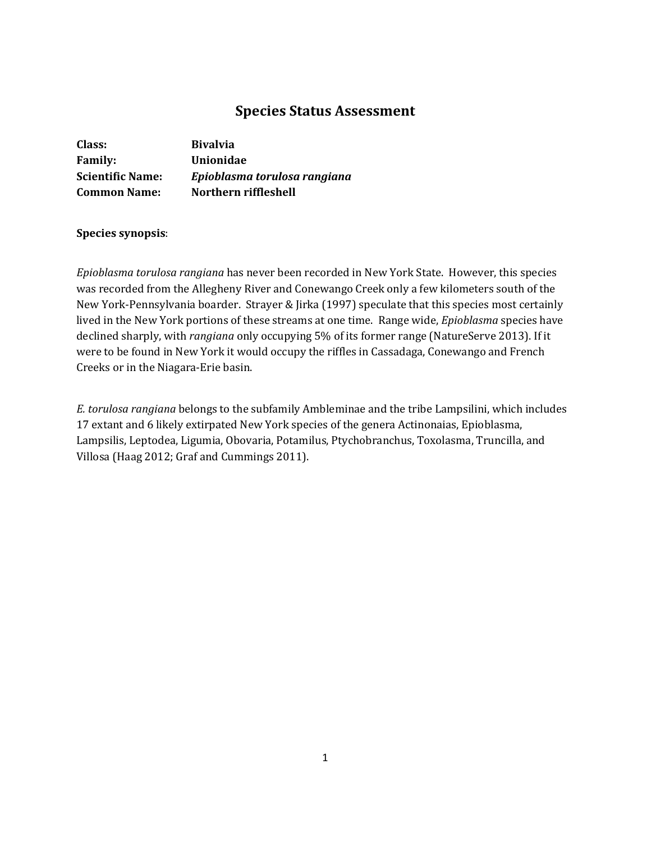# **Species Status Assessment**

| Class:                  | <b>Bivalvia</b>              |
|-------------------------|------------------------------|
| <b>Family:</b>          | Unionidae                    |
| <b>Scientific Name:</b> | Epioblasma torulosa rangiana |
| <b>Common Name:</b>     | Northern riffleshell         |

## **Species synopsis**:

*Epioblasma torulosa rangiana* has never been recorded in New York State. However, this species was recorded from the Allegheny River and Conewango Creek only a few kilometers south of the New York-Pennsylvania boarder. Strayer & Jirka (1997) speculate that this species most certainly lived in the New York portions of these streams at one time. Range wide, *Epioblasma* species have declined sharply, with *rangiana* only occupying 5% of its former range (NatureServe 2013). If it were to be found in New York it would occupy the riffles in Cassadaga, Conewango and French Creeks or in the Niagara-Erie basin.

*E. torulosa rangiana* belongs to the subfamily Ambleminae and the tribe Lampsilini, which includes 17 extant and 6 likely extirpated New York species of the genera Actinonaias, Epioblasma, Lampsilis, Leptodea, Ligumia, Obovaria, Potamilus, Ptychobranchus, Toxolasma, Truncilla, and Villosa (Haag 2012; Graf and Cummings 2011).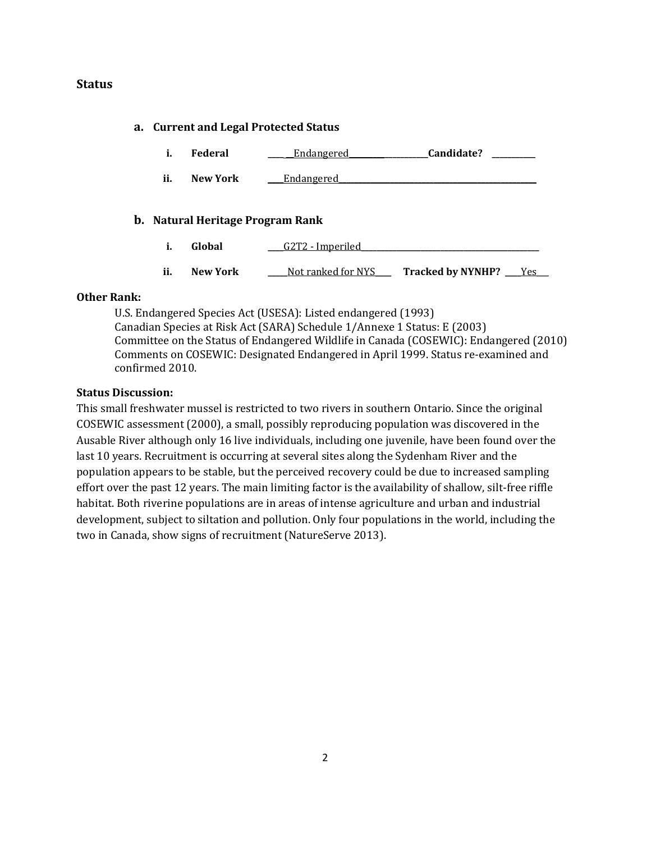## **Status**

### **a. Current and Legal Protected Status**

|  | Federal | Endangered | Candidate? |  |
|--|---------|------------|------------|--|
|--|---------|------------|------------|--|

**ii. New York \_\_\_\_**Endangered**\_\_\_\_\_\_\_\_\_\_\_\_\_\_\_\_\_\_\_\_\_\_\_\_\_\_\_\_\_\_\_\_\_\_\_\_\_\_\_\_\_\_\_\_\_\_\_\_\_\_**

### **b. Natural Heritage Program Rank**

- **i. Global \_\_\_\_**G2T2 Imperiled**\_\_\_\_\_\_\_\_\_\_\_\_\_\_\_\_\_\_\_\_\_\_\_\_\_\_\_\_\_\_\_\_\_\_\_\_\_\_\_\_\_\_\_\_\_**
- ii. **New York \_\_\_\_**Not ranked for NYS\_\_\_ Tracked by NYNHP? \_\_\_Yes

### **Other Rank:**

U.S. Endangered Species Act (USESA): Listed endangered (1993) Canadian Species at Risk Act (SARA) Schedule 1/Annexe 1 Status: E (2003) Committee on the Status of Endangered Wildlife in Canada (COSEWIC): Endangered (2010) Comments on COSEWIC: Designated Endangered in April 1999. Status re-examined and confirmed 2010.

## **Status Discussion:**

This small freshwater mussel is restricted to two rivers in southern Ontario. Since the original COSEWIC assessment (2000), a small, possibly reproducing population was discovered in the Ausable River although only 16 live individuals, including one juvenile, have been found over the last 10 years. Recruitment is occurring at several sites along the Sydenham River and the population appears to be stable, but the perceived recovery could be due to increased sampling effort over the past 12 years. The main limiting factor is the availability of shallow, silt-free riffle habitat. Both riverine populations are in areas of intense agriculture and urban and industrial development, subject to siltation and pollution. Only four populations in the world, including the two in Canada, show signs of recruitment (NatureServe 2013).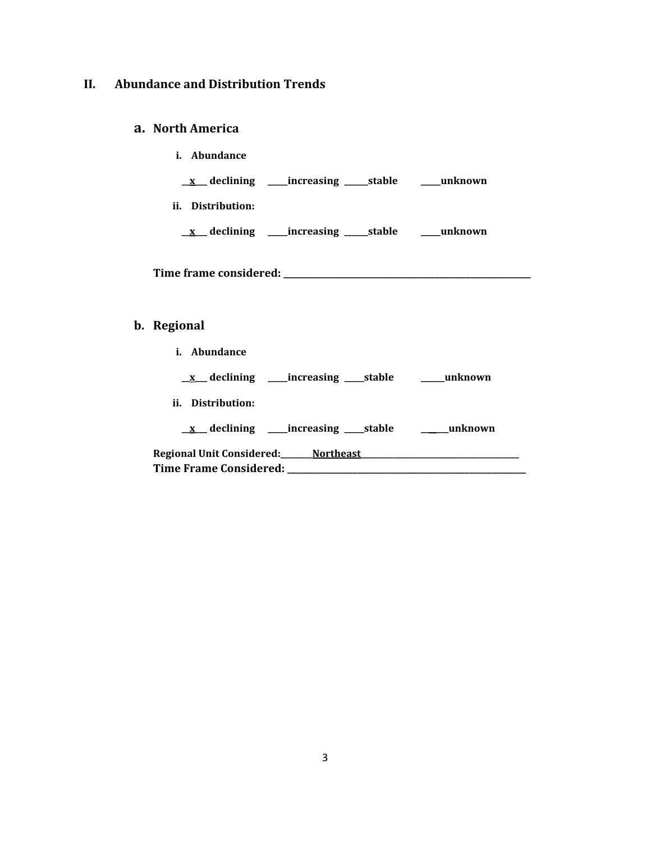# **II. Abundance and Distribution Trends**

## **a. North America**

| Abundance<br>Î.      |                                                 |         |
|----------------------|-------------------------------------------------|---------|
|                      | <u>x</u> declining ____increasing _____stable   | unknown |
| ii.<br>Distribution: |                                                 |         |
|                      | <u>x</u> declining _____increasing ______stable | unknown |
|                      |                                                 |         |

**Time frame considered: \_\_\_\_\_\_\_\_\_\_\_\_\_\_\_\_\_\_\_\_\_\_\_\_\_\_\_\_\_\_\_\_\_\_\_\_\_\_\_\_\_\_\_\_\_\_\_\_\_\_\_\_\_\_\_\_\_**

# **b. Regional**

| Abundance<br>i.                                                                  |                          |
|----------------------------------------------------------------------------------|--------------------------|
| <u>x</u> declining _____increasing ______stable __________unknown                |                          |
| ii. Distribution:                                                                |                          |
| $x$ declining _____increasing ______stable                                       | <b>Example 1 unknown</b> |
| Regional Unit Considered:_________Northeast ___<br><b>Time Frame Considered:</b> |                          |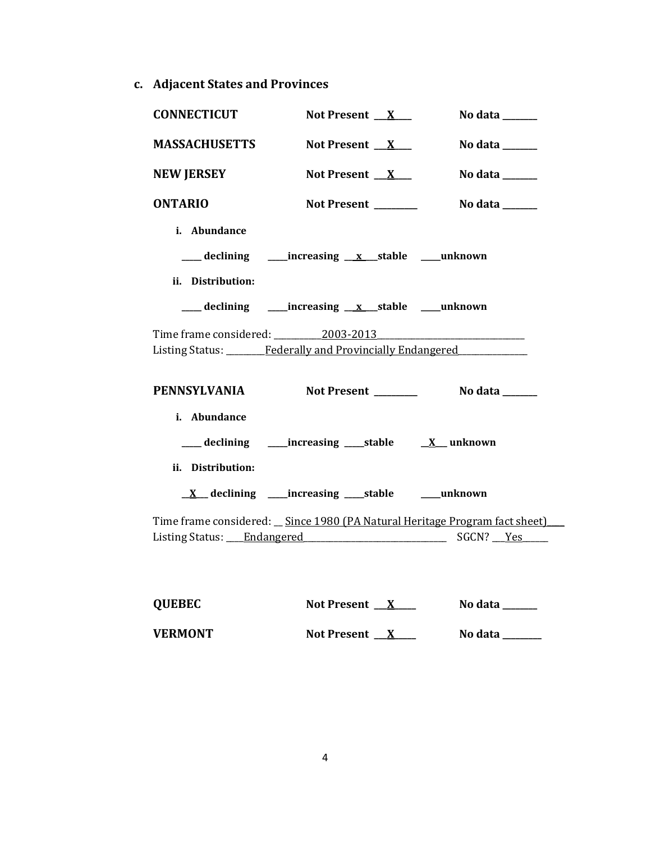**c. Adjacent States and Provinces**

| <b>CONNECTICUT</b>                | Not Present $X$                                                                                   | No data ______                      |
|-----------------------------------|---------------------------------------------------------------------------------------------------|-------------------------------------|
| <b>MASSACHUSETTS</b>              | Not Present $X$                                                                                   | No data ______                      |
| <b>NEW JERSEY</b>                 | Not Present $X_{-}$                                                                               | No data $\_\_\_\_\_\_\_\_\_\_\_\_\$ |
| <b>ONTARIO</b>                    | Not Present ______                                                                                | No data ______                      |
| i. Abundance<br>ii. Distribution: |                                                                                                   |                                     |
|                                   |                                                                                                   |                                     |
|                                   | Time frame considered: 2003-2013<br>Listing Status: ________Federally and Provincially Endangered |                                     |
|                                   |                                                                                                   |                                     |
| <b>PENNSYLVANIA</b>               |                                                                                                   | Not Present ________ No data _____  |
| i. Abundance<br>ii. Distribution: | ___ declining _____increasing ____stable ___ <u>X</u> _unknown                                    |                                     |
|                                   | $\underline{X}$ declining _____increasing ______stable ___________unknown                         |                                     |
|                                   | Time frame considered: _ Since 1980 (PA Natural Heritage Program fact sheet)                      |                                     |
|                                   |                                                                                                   |                                     |

| <b>QUEBEC</b>  | Not Present <u>X</u> | No data |
|----------------|----------------------|---------|
| <b>VERMONT</b> | Not Present X        | No data |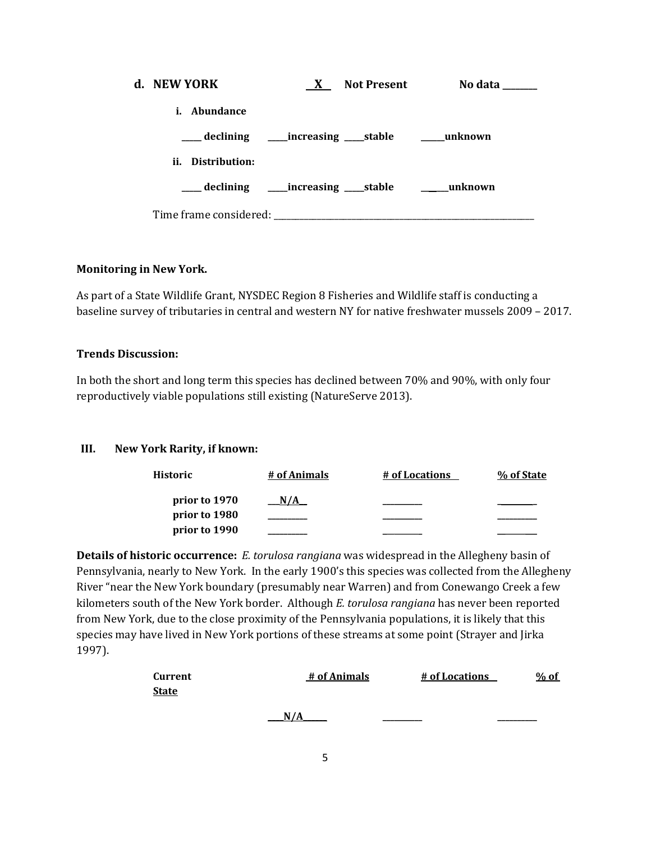| d. NEW YORK                                                   | $\mathbf{X}$ | <b>Not Present</b>                                          | No data |
|---------------------------------------------------------------|--------------|-------------------------------------------------------------|---------|
| Abundance<br>i.                                               |              |                                                             |         |
| ____ declining ______ increasing _____ stable _______ unknown |              |                                                             |         |
| ii. Distribution:                                             |              |                                                             |         |
| ___ declining _____increasing _____stable ________unknown     |              |                                                             |         |
| Time frame considered:                                        |              | the control of the control of the control of the control of |         |

## **Monitoring in New York.**

As part of a State Wildlife Grant, NYSDEC Region 8 Fisheries and Wildlife staff is conducting a baseline survey of tributaries in central and western NY for native freshwater mussels 2009 – 2017.

## **Trends Discussion:**

In both the short and long term this species has declined between 70% and 90%, with only four reproductively viable populations still existing (NatureServe 2013).

### **III. New York Rarity, if known:**

| Historic      | # of Animals | # of Locations | % of State |
|---------------|--------------|----------------|------------|
| prior to 1970 | N/A          |                |            |
| prior to 1980 |              |                |            |
| prior to 1990 |              |                |            |

**Details of historic occurrence:** *E. torulosa rangiana* was widespread in the Allegheny basin of Pennsylvania, nearly to New York. In the early 1900's this species was collected from the Allegheny River "near the New York boundary (presumably near Warren) and from Conewango Creek a few kilometers south of the New York border. Although *E. torulosa rangiana* has never been reported from New York, due to the close proximity of the Pennsylvania populations, it is likely that this species may have lived in New York portions of these streams at some point (Strayer and Jirka 1997).

| Current      | # of Animals | # of Locations | $%$ of |
|--------------|--------------|----------------|--------|
| <b>State</b> |              |                |        |
|              |              |                |        |
|              | N/A          |                |        |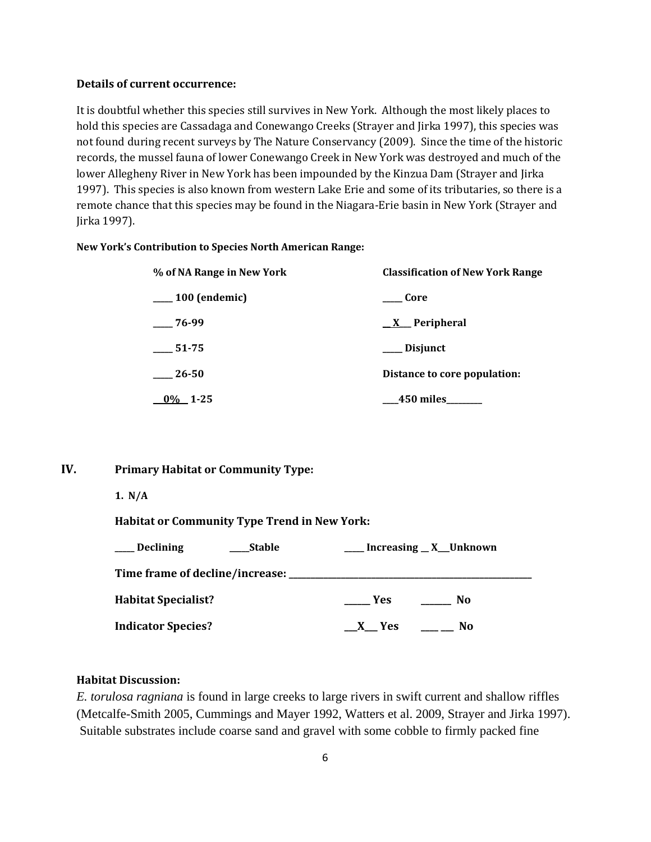### **Details of current occurrence:**

It is doubtful whether this species still survives in New York. Although the most likely places to hold this species are Cassadaga and Conewango Creeks (Strayer and Jirka 1997), this species was not found during recent surveys by The Nature Conservancy (2009). Since the time of the historic records, the mussel fauna of lower Conewango Creek in New York was destroyed and much of the lower Allegheny River in New York has been impounded by the Kinzua Dam (Strayer and Jirka 1997). This species is also known from western Lake Erie and some of its tributaries, so there is a remote chance that this species may be found in the Niagara-Erie basin in New York (Strayer and Jirka 1997).

#### **New York's Contribution to Species North American Range:**

| % of NA Range in New York | <b>Classification of New York Range</b> |
|---------------------------|-----------------------------------------|
| $\frac{100}{2}$ (endemic) | Core                                    |
| $-76-99$                  | <u>X</u> Peripheral                     |
| 51-75                     | Disjunct                                |
| 26-50                     | Distance to core population:            |
| $0\%$ 1-25                | 450 miles                               |

### **IV. Primary Habitat or Community Type:**

**1. N/A**

**Habitat or Community Type Trend in New York:**

| <b>Declining</b><br><b>Stable</b>                | __ Increasing _ X_Unknown |
|--------------------------------------------------|---------------------------|
| Time frame of decline/increase: ________________ |                           |
| <b>Habitat Specialist?</b>                       | Yes.<br>No                |
| <b>Indicator Species?</b>                        | X Yes<br>No               |

### **Habitat Discussion:**

*E. torulosa ragniana* is found in large creeks to large rivers in swift current and shallow riffles (Metcalfe-Smith 2005, Cummings and Mayer 1992, Watters et al. 2009, Strayer and Jirka 1997). Suitable substrates include coarse sand and gravel with some cobble to firmly packed fine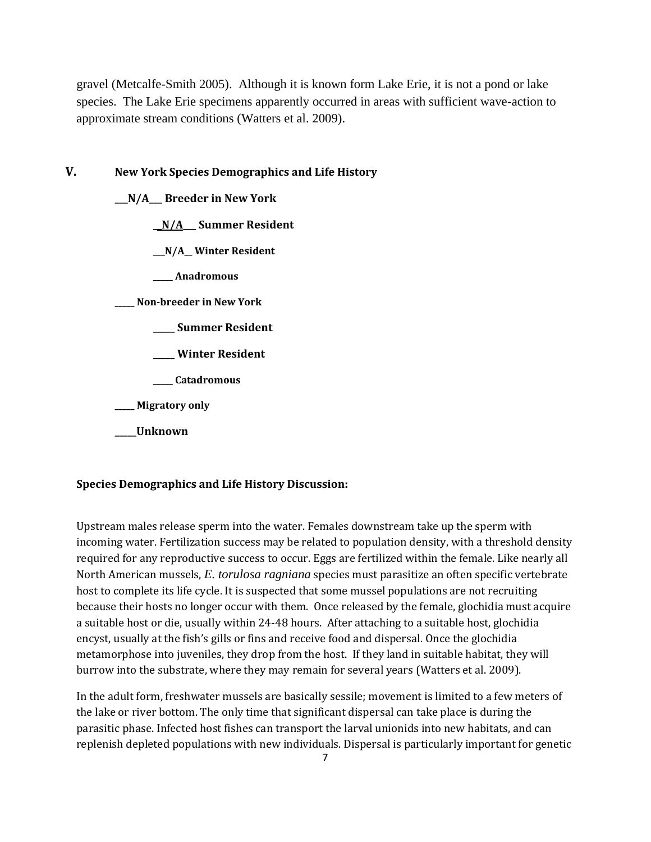gravel (Metcalfe-Smith 2005). Although it is known form Lake Erie, it is not a pond or lake species. The Lake Erie specimens apparently occurred in areas with sufficient wave-action to approximate stream conditions (Watters et al. 2009).

### **V. New York Species Demographics and Life History**

**\_\_\_N/A\_\_\_ Breeder in New York**

**\_\_N/A\_\_\_ Summer Resident**

**\_\_\_N/A\_\_ Winter Resident**

**\_\_\_\_\_ Anadromous**

**\_\_\_\_\_ Non-breeder in New York**

- **\_\_\_\_\_ Summer Resident**
- **\_\_\_\_\_ Winter Resident**
- **\_\_\_\_\_ Catadromous**

**\_\_\_\_\_ Migratory only**

#### **\_\_\_\_\_Unknown**

#### **Species Demographics and Life History Discussion:**

Upstream males release sperm into the water. Females downstream take up the sperm with incoming water. Fertilization success may be related to population density, with a threshold density required for any reproductive success to occur. Eggs are fertilized within the female. Like nearly all North American mussels, *E. torulosa ragniana* species must parasitize an often specific vertebrate host to complete its life cycle. It is suspected that some mussel populations are not recruiting because their hosts no longer occur with them. Once released by the female, glochidia must acquire a suitable host or die, usually within 24-48 hours. After attaching to a suitable host, glochidia encyst, usually at the fish's gills or fins and receive food and dispersal. Once the glochidia metamorphose into juveniles, they drop from the host. If they land in suitable habitat, they will burrow into the substrate, where they may remain for several years (Watters et al. 2009).

In the adult form, freshwater mussels are basically sessile; movement is limited to a few meters of the lake or river bottom. The only time that significant dispersal can take place is during the parasitic phase. Infected host fishes can transport the larval unionids into new habitats, and can replenish depleted populations with new individuals. Dispersal is particularly important for genetic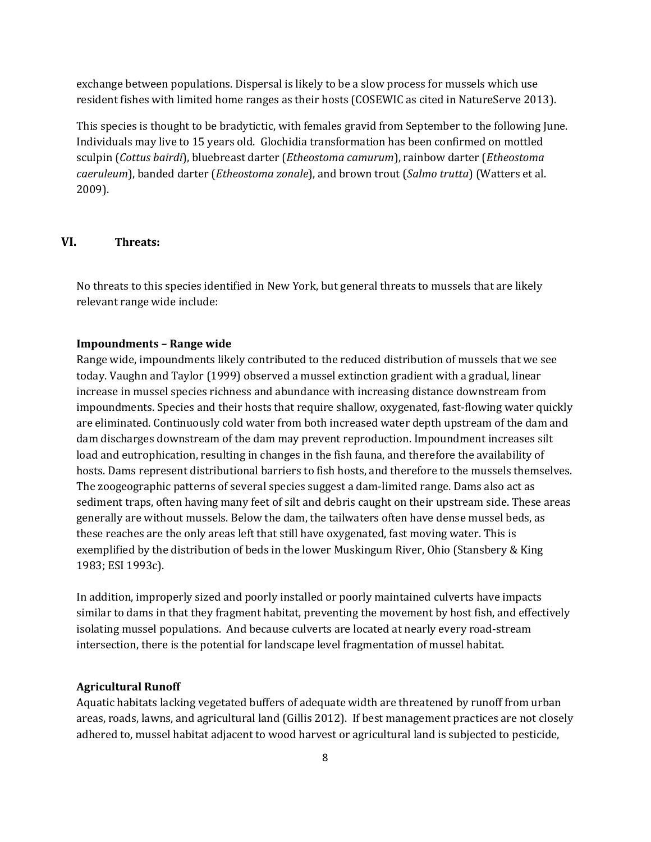exchange between populations. Dispersal is likely to be a slow process for mussels which use resident fishes with limited home ranges as their hosts (COSEWIC as cited in NatureServe 2013).

This species is thought to be bradytictic, with females gravid from September to the following June. Individuals may live to 15 years old. Glochidia transformation has been confirmed on mottled sculpin (*Cottus bairdi*), bluebreast darter (*Etheostoma camurum*), rainbow darter (*Etheostoma caeruleum*), banded darter (*Etheostoma zonale*), and brown trout (*Salmo trutta*) (Watters et al. 2009).

## **VI. Threats:**

No threats to this species identified in New York, but general threats to mussels that are likely relevant range wide include:

#### **Impoundments – Range wide**

Range wide, impoundments likely contributed to the reduced distribution of mussels that we see today. Vaughn and Taylor (1999) observed a mussel extinction gradient with a gradual, linear increase in mussel species richness and abundance with increasing distance downstream from impoundments. Species and their hosts that require shallow, oxygenated, fast-flowing water quickly are eliminated. Continuously cold water from both increased water depth upstream of the dam and dam discharges downstream of the dam may prevent reproduction. Impoundment increases silt load and eutrophication, resulting in changes in the fish fauna, and therefore the availability of hosts. Dams represent distributional barriers to fish hosts, and therefore to the mussels themselves. The zoogeographic patterns of several species suggest a dam-limited range. Dams also act as sediment traps, often having many feet of silt and debris caught on their upstream side. These areas generally are without mussels. Below the dam, the tailwaters often have dense mussel beds, as these reaches are the only areas left that still have oxygenated, fast moving water. This is exemplified by the distribution of beds in the lower Muskingum River, Ohio (Stansbery & King 1983; ESI 1993c).

In addition, improperly sized and poorly installed or poorly maintained culverts have impacts similar to dams in that they fragment habitat, preventing the movement by host fish, and effectively isolating mussel populations. And because culverts are located at nearly every road-stream intersection, there is the potential for landscape level fragmentation of mussel habitat.

#### **Agricultural Runoff**

Aquatic habitats lacking vegetated buffers of adequate width are threatened by runoff from urban areas, roads, lawns, and agricultural land (Gillis 2012). If best management practices are not closely adhered to, mussel habitat adjacent to wood harvest or agricultural land is subjected to pesticide,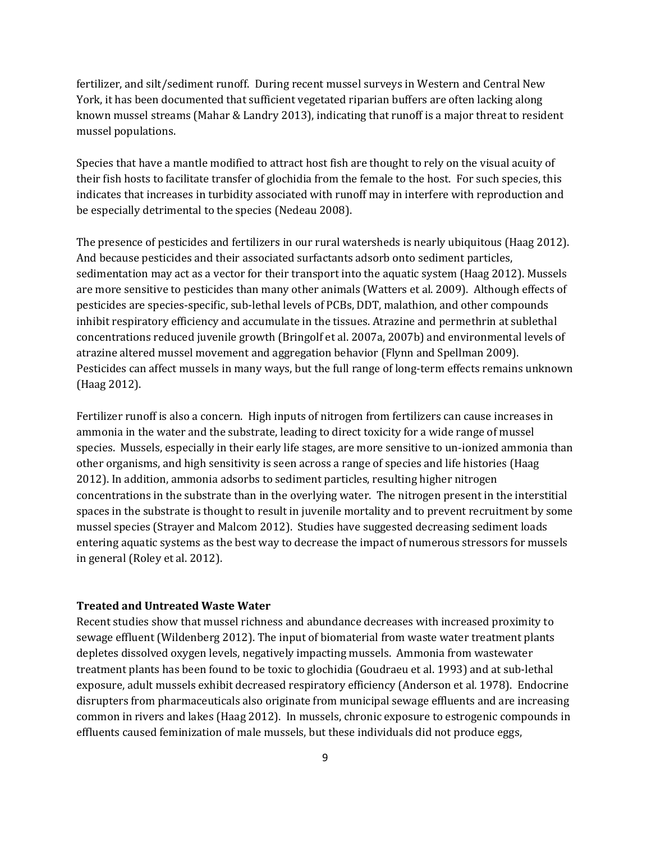fertilizer, and silt/sediment runoff. During recent mussel surveys in Western and Central New York, it has been documented that sufficient vegetated riparian buffers are often lacking along known mussel streams (Mahar & Landry 2013), indicating that runoff is a major threat to resident mussel populations.

Species that have a mantle modified to attract host fish are thought to rely on the visual acuity of their fish hosts to facilitate transfer of glochidia from the female to the host. For such species, this indicates that increases in turbidity associated with runoff may in interfere with reproduction and be especially detrimental to the species (Nedeau 2008).

The presence of pesticides and fertilizers in our rural watersheds is nearly ubiquitous (Haag 2012). And because pesticides and their associated surfactants adsorb onto sediment particles, sedimentation may act as a vector for their transport into the aquatic system (Haag 2012). Mussels are more sensitive to pesticides than many other animals (Watters et al. 2009). Although effects of pesticides are species-specific, sub-lethal levels of PCBs, DDT, malathion, and other compounds inhibit respiratory efficiency and accumulate in the tissues. Atrazine and permethrin at sublethal concentrations reduced juvenile growth (Bringolf et al. 2007a, 2007b) and environmental levels of atrazine altered mussel movement and aggregation behavior (Flynn and Spellman 2009). Pesticides can affect mussels in many ways, but the full range of long-term effects remains unknown (Haag 2012).

Fertilizer runoff is also a concern. High inputs of nitrogen from fertilizers can cause increases in ammonia in the water and the substrate, leading to direct toxicity for a wide range of mussel species. Mussels, especially in their early life stages, are more sensitive to un-ionized ammonia than other organisms, and high sensitivity is seen across a range of species and life histories (Haag 2012). In addition, ammonia adsorbs to sediment particles, resulting higher nitrogen concentrations in the substrate than in the overlying water. The nitrogen present in the interstitial spaces in the substrate is thought to result in juvenile mortality and to prevent recruitment by some mussel species (Strayer and Malcom 2012). Studies have suggested decreasing sediment loads entering aquatic systems as the best way to decrease the impact of numerous stressors for mussels in general (Roley et al. 2012).

#### **Treated and Untreated Waste Water**

Recent studies show that mussel richness and abundance decreases with increased proximity to sewage effluent (Wildenberg 2012). The input of biomaterial from waste water treatment plants depletes dissolved oxygen levels, negatively impacting mussels. Ammonia from wastewater treatment plants has been found to be toxic to glochidia (Goudraeu et al. 1993) and at sub-lethal exposure, adult mussels exhibit decreased respiratory efficiency (Anderson et al*.* 1978). Endocrine disrupters from pharmaceuticals also originate from municipal sewage effluents and are increasing common in rivers and lakes (Haag 2012). In mussels, chronic exposure to estrogenic compounds in effluents caused feminization of male mussels, but these individuals did not produce eggs,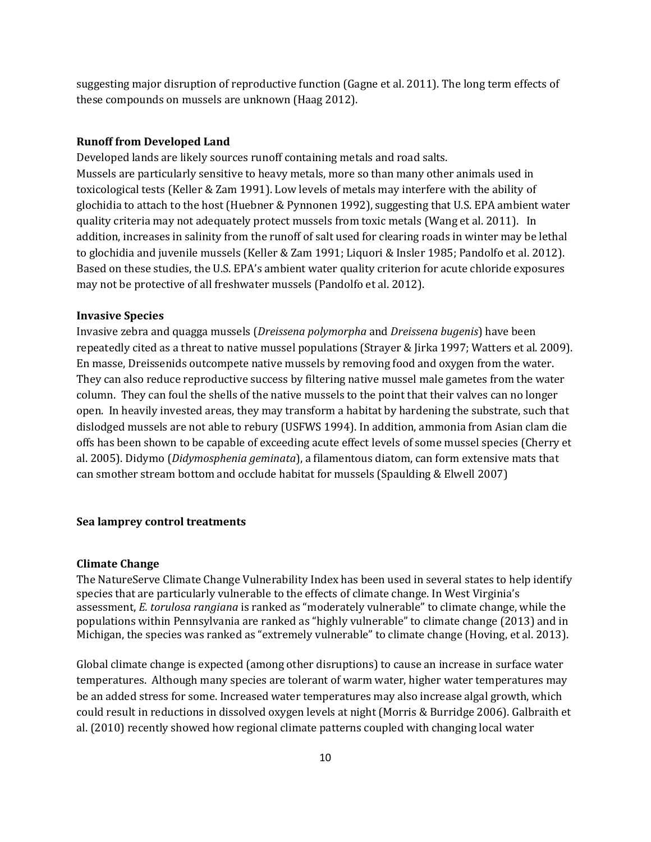suggesting major disruption of reproductive function (Gagne et al. 2011). The long term effects of these compounds on mussels are unknown (Haag 2012).

#### **Runoff from Developed Land**

Developed lands are likely sources runoff containing metals and road salts. Mussels are particularly sensitive to heavy metals, more so than many other animals used in toxicological tests (Keller & Zam 1991). Low levels of metals may interfere with the ability of glochidia to attach to the host (Huebner & Pynnonen 1992), suggesting that U.S. EPA ambient water quality criteria may not adequately protect mussels from toxic metals (Wang et al. 2011). In addition, increases in salinity from the runoff of salt used for clearing roads in winter may be lethal to glochidia and juvenile mussels (Keller & Zam 1991; Liquori & Insler 1985; Pandolfo et al. 2012). Based on these studies, the U.S. EPA's ambient water quality criterion for acute chloride exposures may not be protective of all freshwater mussels (Pandolfo et al. 2012).

#### **Invasive Species**

Invasive zebra and quagga mussels (*Dreissena polymorpha* and *Dreissena bugenis*) have been repeatedly cited as a threat to native mussel populations (Strayer & Jirka 1997; Watters et al. 2009). En masse, Dreissenids outcompete native mussels by removing food and oxygen from the water. They can also reduce reproductive success by filtering native mussel male gametes from the water column. They can foul the shells of the native mussels to the point that their valves can no longer open. In heavily invested areas, they may transform a habitat by hardening the substrate, such that dislodged mussels are not able to rebury (USFWS 1994). In addition, ammonia from Asian clam die offs has been shown to be capable of exceeding acute effect levels of some mussel species (Cherry et al. 2005). Didymo (*Didymosphenia geminata*), a filamentous diatom, can form extensive mats that can smother stream bottom and occlude habitat for mussels (Spaulding & Elwell 2007)

#### **Sea lamprey control treatments**

#### **Climate Change**

The NatureServe Climate Change Vulnerability Index has been used in several states to help identify species that are particularly vulnerable to the effects of climate change. In West Virginia's assessment, *E. torulosa rangiana* is ranked as "moderately vulnerable" to climate change, while the populations within Pennsylvania are ranked as "highly vulnerable" to climate change (2013) and in Michigan, the species was ranked as "extremely vulnerable" to climate change (Hoving, et al. 2013).

Global climate change is expected (among other disruptions) to cause an increase in surface water temperatures. Although many species are tolerant of warm water, higher water temperatures may be an added stress for some. Increased water temperatures may also increase algal growth, which could result in reductions in dissolved oxygen levels at night (Morris & Burridge 2006). Galbraith et al. (2010) recently showed how regional climate patterns coupled with changing local water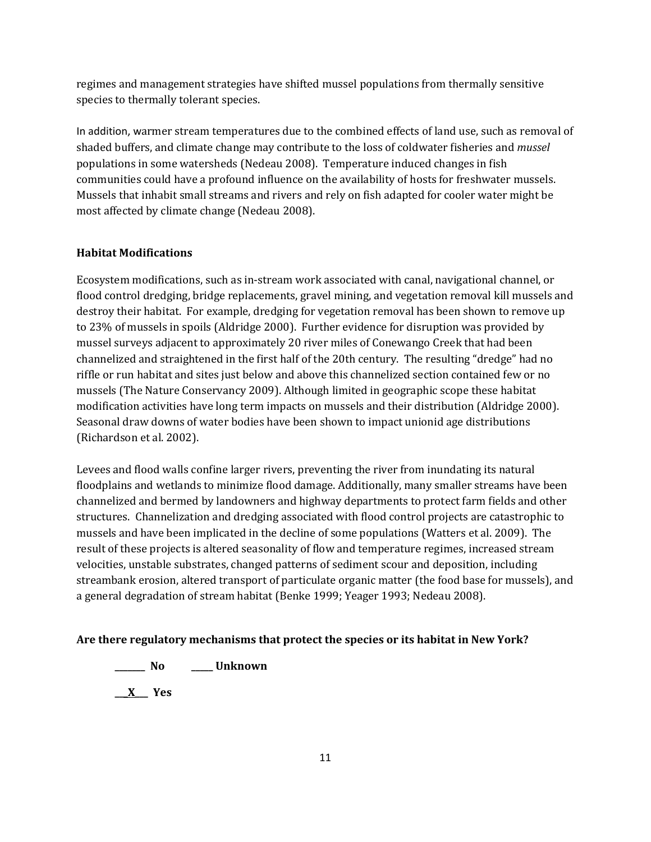regimes and management strategies have shifted mussel populations from thermally sensitive species to thermally tolerant species.

In addition, warmer stream temperatures due to the combined effects of land use, such as removal of shaded buffers, and climate change may contribute to the loss of coldwater fisheries and *mussel*  populations in some watersheds (Nedeau 2008). Temperature induced changes in fish communities could have a profound influence on the availability of hosts for freshwater mussels. Mussels that inhabit small streams and rivers and rely on fish adapted for cooler water might be most affected by climate change (Nedeau 2008).

## **Habitat Modifications**

Ecosystem modifications, such as in-stream work associated with canal, navigational channel, or flood control dredging, bridge replacements, gravel mining, and vegetation removal kill mussels and destroy their habitat. For example, dredging for vegetation removal has been shown to remove up to 23% of mussels in spoils (Aldridge 2000). Further evidence for disruption was provided by mussel surveys adjacent to approximately 20 river miles of Conewango Creek that had been channelized and straightened in the first half of the 20th century. The resulting "dredge" had no riffle or run habitat and sites just below and above this channelized section contained few or no mussels (The Nature Conservancy 2009). Although limited in geographic scope these habitat modification activities have long term impacts on mussels and their distribution (Aldridge 2000). Seasonal draw downs of water bodies have been shown to impact unionid age distributions (Richardson et al. 2002).

Levees and flood walls confine larger rivers, preventing the river from inundating its natural floodplains and wetlands to minimize flood damage. Additionally, many smaller streams have been channelized and bermed by landowners and highway departments to protect farm fields and other structures. Channelization and dredging associated with flood control projects are catastrophic to mussels and have been implicated in the decline of some populations (Watters et al. 2009). The result of these projects is altered seasonality of flow and temperature regimes, increased stream velocities, unstable substrates, changed patterns of sediment scour and deposition, including streambank erosion, altered transport of particulate organic matter (the food base for mussels), and a general degradation of stream habitat (Benke 1999; Yeager 1993; Nedeau 2008).

### **Are there regulatory mechanisms that protect the species or its habitat in New York?**

**\_\_\_\_\_\_\_ No \_\_\_\_\_ Unknown**

**\_\_\_X\_\_\_ Yes**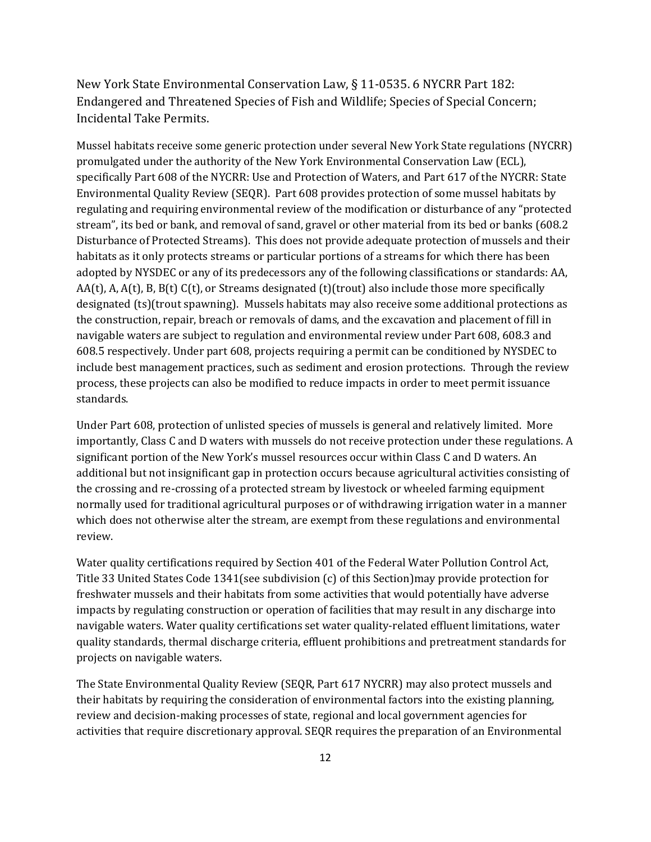New York State Environmental Conservation Law, § 11-0535. 6 NYCRR Part 182: Endangered and Threatened Species of Fish and Wildlife; Species of Special Concern; Incidental Take Permits.

Mussel habitats receive some generic protection under several New York State regulations (NYCRR) promulgated under the authority of the New York Environmental Conservation Law (ECL), specifically Part 608 of the NYCRR: Use and Protection of Waters, and Part 617 of the NYCRR: State Environmental Quality Review (SEQR). Part 608 provides protection of some mussel habitats by regulating and requiring environmental review of the modification or disturbance of any "protected stream", its bed or bank, and removal of sand, gravel or other material from its bed or banks (608.2 Disturbance of Protected Streams). This does not provide adequate protection of mussels and their habitats as it only protects streams or particular portions of a streams for which there has been adopted by NYSDEC or any of its predecessors any of the following classifications or standards: AA, AA(t), A, A(t), B, B(t) C(t), or Streams designated (t)(trout) also include those more specifically designated (ts)(trout spawning). Mussels habitats may also receive some additional protections as the construction, repair, breach or removals of dams, and the excavation and placement of fill in navigable waters are subject to regulation and environmental review under Part 608, 608.3 and 608.5 respectively. Under part 608, projects requiring a permit can be conditioned by NYSDEC to include best management practices, such as sediment and erosion protections. Through the review process, these projects can also be modified to reduce impacts in order to meet permit issuance standards.

Under Part 608, protection of unlisted species of mussels is general and relatively limited. More importantly, Class C and D waters with mussels do not receive protection under these regulations. A significant portion of the New York's mussel resources occur within Class C and D waters. An additional but not insignificant gap in protection occurs because agricultural activities consisting of the crossing and re-crossing of a protected stream by livestock or wheeled farming equipment normally used for traditional agricultural purposes or of withdrawing irrigation water in a manner which does not otherwise alter the stream, are exempt from these regulations and environmental review.

Water quality certifications required by Section 401 of the Federal Water Pollution Control Act, Title 33 United States Code 1341(see subdivision (c) of this Section)may provide protection for freshwater mussels and their habitats from some activities that would potentially have adverse impacts by regulating construction or operation of facilities that may result in any discharge into navigable waters. Water quality certifications set water quality-related effluent limitations, water quality standards, thermal discharge criteria, effluent prohibitions and pretreatment standards for projects on navigable waters.

The State Environmental Quality Review (SEQR, Part 617 NYCRR) may also protect mussels and their habitats by requiring the consideration of environmental factors into the existing planning, review and decision-making processes of state, regional and local government agencies for activities that require discretionary approval. SEQR requires the preparation of an Environmental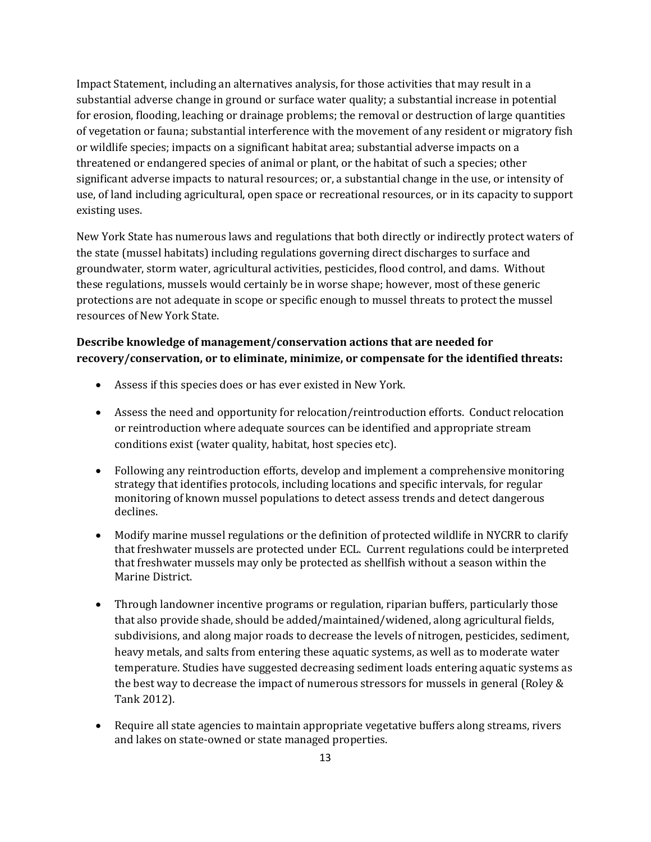Impact Statement, including an alternatives analysis, for those activities that may result in a substantial adverse change in ground or surface water quality; a substantial increase in potential for erosion, flooding, leaching or drainage problems; the removal or destruction of large quantities of vegetation or fauna; substantial interference with the movement of any resident or migratory fish or wildlife species; impacts on a significant habitat area; substantial adverse impacts on a threatened or endangered species of animal or plant, or the habitat of such a species; other significant adverse impacts to natural resources; or, a substantial change in the use, or intensity of use, of land including agricultural, open space or recreational resources, or in its capacity to support existing uses.

New York State has numerous laws and regulations that both directly or indirectly protect waters of the state (mussel habitats) including regulations governing direct discharges to surface and groundwater, storm water, agricultural activities, pesticides, flood control, and dams. Without these regulations, mussels would certainly be in worse shape; however, most of these generic protections are not adequate in scope or specific enough to mussel threats to protect the mussel resources of New York State.

## **Describe knowledge of management/conservation actions that are needed for recovery/conservation, or to eliminate, minimize, or compensate for the identified threats:**

- Assess if this species does or has ever existed in New York.
- Assess the need and opportunity for relocation/reintroduction efforts. Conduct relocation or reintroduction where adequate sources can be identified and appropriate stream conditions exist (water quality, habitat, host species etc).
- Following any reintroduction efforts, develop and implement a comprehensive monitoring strategy that identifies protocols, including locations and specific intervals, for regular monitoring of known mussel populations to detect assess trends and detect dangerous declines.
- Modify marine mussel regulations or the definition of protected wildlife in NYCRR to clarify that freshwater mussels are protected under ECL. Current regulations could be interpreted that freshwater mussels may only be protected as shellfish without a season within the Marine District.
- Through landowner incentive programs or regulation, riparian buffers, particularly those that also provide shade, should be added/maintained/widened, along agricultural fields, subdivisions, and along major roads to decrease the levels of nitrogen, pesticides, sediment, heavy metals, and salts from entering these aquatic systems, as well as to moderate water temperature. Studies have suggested decreasing sediment loads entering aquatic systems as the best way to decrease the impact of numerous stressors for mussels in general (Roley & Tank 2012).
- Require all state agencies to maintain appropriate vegetative buffers along streams, rivers and lakes on state-owned or state managed properties.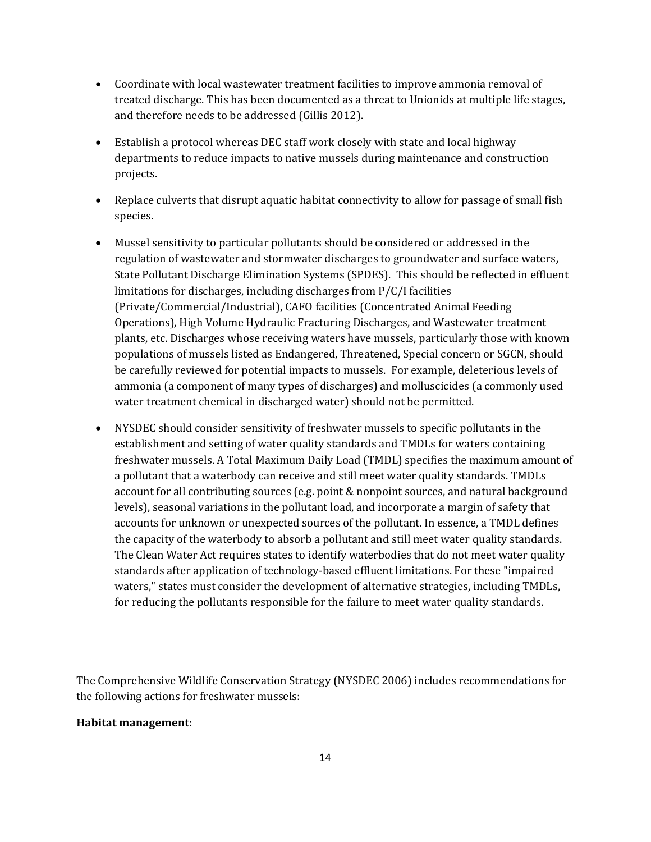- Coordinate with local wastewater treatment facilities to improve ammonia removal of treated discharge. This has been documented as a threat to Unionids at multiple life stages, and therefore needs to be addressed (Gillis 2012).
- Establish a protocol whereas DEC staff work closely with state and local highway departments to reduce impacts to native mussels during maintenance and construction projects.
- Replace culverts that disrupt aquatic habitat connectivity to allow for passage of small fish species.
- Mussel sensitivity to particular pollutants should be considered or addressed in the regulation of wastewater and stormwater discharges to groundwater and surface waters, State Pollutant Discharge Elimination Systems (SPDES). This should be reflected in effluent limitations for discharges, including discharges from P/C/I facilities (Private/Commercial/Industrial), CAFO facilities (Concentrated Animal Feeding Operations), High Volume Hydraulic Fracturing Discharges, and Wastewater treatment plants, etc. Discharges whose receiving waters have mussels, particularly those with known populations of mussels listed as Endangered, Threatened, Special concern or SGCN, should be carefully reviewed for potential impacts to mussels. For example, deleterious levels of ammonia (a component of many types of discharges) and molluscicides (a commonly used water treatment chemical in discharged water) should not be permitted.
- NYSDEC should consider sensitivity of freshwater mussels to specific pollutants in the establishment and setting of water quality standards and TMDLs for waters containing freshwater mussels. A Total Maximum Daily Load (TMDL) specifies the maximum amount of a pollutant that a waterbody can receive and still meet water quality standards. TMDLs account for all contributing sources (e.g. point & nonpoint sources, and natural background levels), seasonal variations in the pollutant load, and incorporate a margin of safety that accounts for unknown or unexpected sources of the pollutant. In essence, a TMDL defines the capacity of the waterbody to absorb a pollutant and still meet water quality standards. The Clean Water Act requires states to identify waterbodies that do not meet water quality standards after application of technology-based effluent limitations. For these "impaired waters," states must consider the development of alternative strategies, including TMDLs, for reducing the pollutants responsible for the failure to meet water quality standards.

The Comprehensive Wildlife Conservation Strategy (NYSDEC 2006) includes recommendations for the following actions for freshwater mussels:

### **Habitat management:**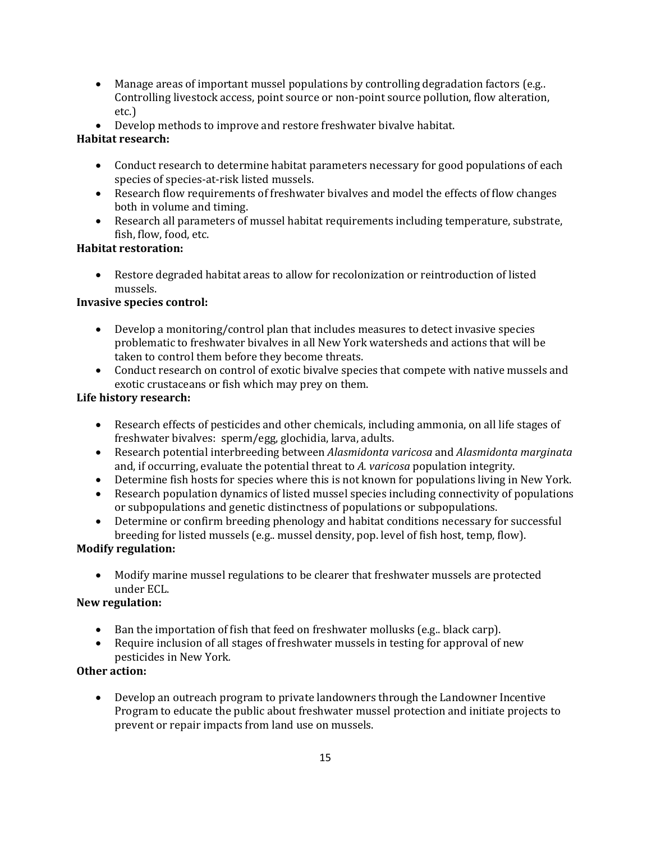- Manage areas of important mussel populations by controlling degradation factors (e.g..) Controlling livestock access, point source or non-point source pollution, flow alteration, etc.)
- Develop methods to improve and restore freshwater bivalve habitat.

## **Habitat research:**

- Conduct research to determine habitat parameters necessary for good populations of each species of species-at-risk listed mussels.
- Research flow requirements of freshwater bivalves and model the effects of flow changes both in volume and timing.
- Research all parameters of mussel habitat requirements including temperature, substrate, fish, flow, food, etc.

## **Habitat restoration:**

• Restore degraded habitat areas to allow for recolonization or reintroduction of listed mussels.

## **Invasive species control:**

- Develop a monitoring/control plan that includes measures to detect invasive species problematic to freshwater bivalves in all New York watersheds and actions that will be taken to control them before they become threats.
- Conduct research on control of exotic bivalve species that compete with native mussels and exotic crustaceans or fish which may prey on them.

## **Life history research:**

- Research effects of pesticides and other chemicals, including ammonia, on all life stages of freshwater bivalves: sperm/egg, glochidia, larva, adults.
- Research potential interbreeding between *Alasmidonta varicosa* and *Alasmidonta marginata* and, if occurring, evaluate the potential threat to *A. varicosa* population integrity.
- Determine fish hosts for species where this is not known for populations living in New York.
- Research population dynamics of listed mussel species including connectivity of populations or subpopulations and genetic distinctness of populations or subpopulations.
- Determine or confirm breeding phenology and habitat conditions necessary for successful breeding for listed mussels (e.g.. mussel density, pop. level of fish host, temp, flow).

## **Modify regulation:**

• Modify marine mussel regulations to be clearer that freshwater mussels are protected under ECL.

## **New regulation:**

- Ban the importation of fish that feed on freshwater mollusks (e.g.. black carp).
- Require inclusion of all stages of freshwater mussels in testing for approval of new pesticides in New York*.*

## **Other action:**

• Develop an outreach program to private landowners through the Landowner Incentive Program to educate the public about freshwater mussel protection and initiate projects to prevent or repair impacts from land use on mussels.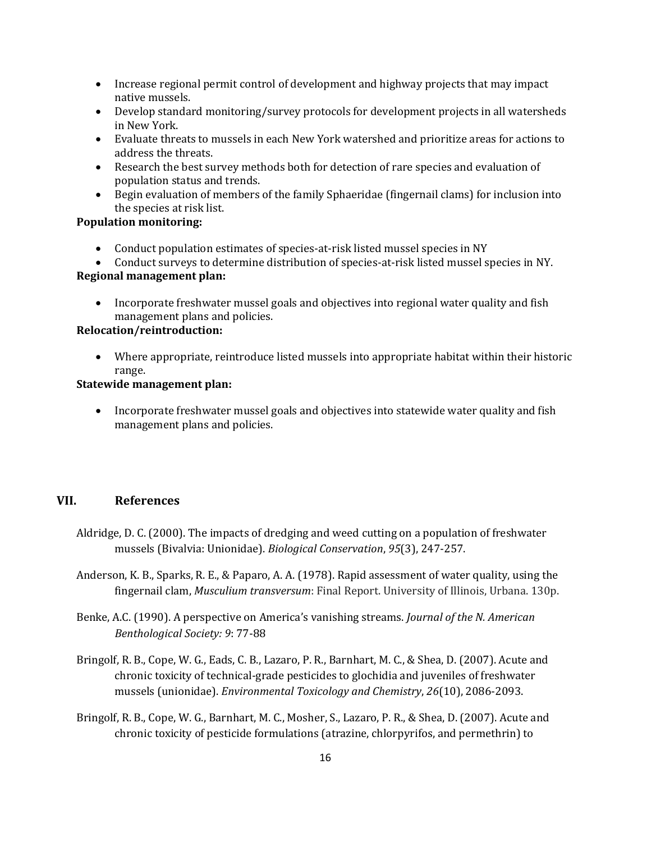- Increase regional permit control of development and highway projects that may impact native mussels.
- Develop standard monitoring/survey protocols for development projects in all watersheds in New York.
- Evaluate threats to mussels in each New York watershed and prioritize areas for actions to address the threats.
- Research the best survey methods both for detection of rare species and evaluation of population status and trends.
- Begin evaluation of members of the family Sphaeridae (fingernail clams) for inclusion into the species at risk list.

## **Population monitoring:**

- Conduct population estimates of species-at-risk listed mussel species in NY
- Conduct surveys to determine distribution of species-at-risk listed mussel species in NY.

#### **Regional management plan:**

• Incorporate freshwater mussel goals and objectives into regional water quality and fish management plans and policies.

### **Relocation/reintroduction:**

• Where appropriate, reintroduce listed mussels into appropriate habitat within their historic range.

### **Statewide management plan:**

• Incorporate freshwater mussel goals and objectives into statewide water quality and fish management plans and policies.

### **VII. References**

- Aldridge, D. C. (2000). The impacts of dredging and weed cutting on a population of freshwater mussels (Bivalvia: Unionidae). *Biological Conservation*, *95*(3), 247-257.
- Anderson, K. B., Sparks, R. E., & Paparo, A. A. (1978). Rapid assessment of water quality, using the fingernail clam, *Musculium transversum*: Final Report. University of Illinois, Urbana. 130p.
- Benke, A.C. (1990). A perspective on America's vanishing streams. *Journal of the N. American Benthological Society: 9*: 77-88
- Bringolf, R. B., Cope, W. G., Eads, C. B., Lazaro, P. R., Barnhart, M. C., & Shea, D. (2007). Acute and chronic toxicity of technical‐grade pesticides to glochidia and juveniles of freshwater mussels (unionidae). *Environmental Toxicology and Chemistry*, *26*(10), 2086-2093.
- Bringolf, R. B., Cope, W. G., Barnhart, M. C., Mosher, S., Lazaro, P. R., & Shea, D. (2007). Acute and chronic toxicity of pesticide formulations (atrazine, chlorpyrifos, and permethrin) to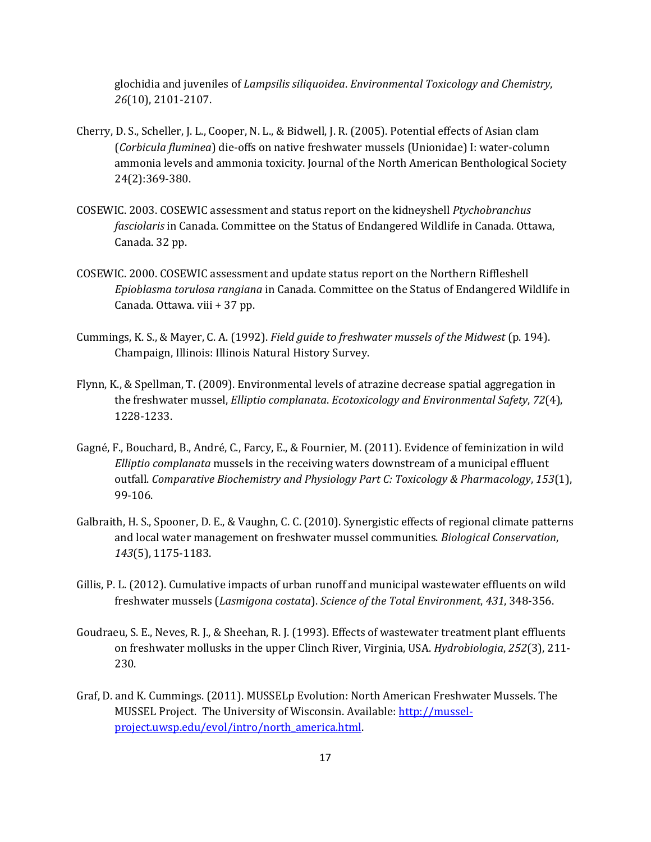glochidia and juveniles of *Lampsilis siliquoidea*. *Environmental Toxicology and Chemistry*, *26*(10), 2101-2107.

- Cherry, D. S., Scheller, J. L., Cooper, N. L., & Bidwell, J. R. (2005). Potential effects of Asian clam (*Corbicula fluminea*) die-offs on native freshwater mussels (Unionidae) I: water-column ammonia levels and ammonia toxicity. Journal of the North American Benthological Society 24(2):369-380.
- COSEWIC. 2003. COSEWIC assessment and status report on the kidneyshell *Ptychobranchus fasciolaris* in Canada. Committee on the Status of Endangered Wildlife in Canada. Ottawa, Canada. 32 pp.
- COSEWIC. 2000. COSEWIC assessment and update status report on the Northern Riffleshell *Epioblasma torulosa rangiana* in Canada. Committee on the Status of Endangered Wildlife in Canada. Ottawa. viii + 37 pp.
- Cummings, K. S., & Mayer, C. A. (1992). *Field guide to freshwater mussels of the Midwest* (p. 194). Champaign, Illinois: Illinois Natural History Survey.
- Flynn, K., & Spellman, T. (2009). Environmental levels of atrazine decrease spatial aggregation in the freshwater mussel, *Elliptio complanata*. *Ecotoxicology and Environmental Safety*, *72*(4), 1228-1233.
- Gagné, F., Bouchard, B., André, C., Farcy, E., & Fournier, M. (2011). Evidence of feminization in wild *Elliptio complanata* mussels in the receiving waters downstream of a municipal effluent outfall. *Comparative Biochemistry and Physiology Part C: Toxicology & Pharmacology*, *153*(1), 99-106.
- Galbraith, H. S., Spooner, D. E., & Vaughn, C. C. (2010). Synergistic effects of regional climate patterns and local water management on freshwater mussel communities. *Biological Conservation*, *143*(5), 1175-1183.
- Gillis, P. L. (2012). Cumulative impacts of urban runoff and municipal wastewater effluents on wild freshwater mussels (*Lasmigona costata*). *Science of the Total Environment*, *431*, 348-356.
- Goudraeu, S. E., Neves, R. J., & Sheehan, R. J. (1993). Effects of wastewater treatment plant effluents on freshwater mollusks in the upper Clinch River, Virginia, USA. *Hydrobiologia*, *252*(3), 211- 230.
- Graf, D. and K. Cummings. (2011). MUSSELp Evolution: North American Freshwater Mussels. The MUSSEL Project. The University of Wisconsin. Available: [http://mussel](http://mussel-project.uwsp.edu/evol/intro/north_america.html)[project.uwsp.edu/evol/intro/north\\_america.html.](http://mussel-project.uwsp.edu/evol/intro/north_america.html)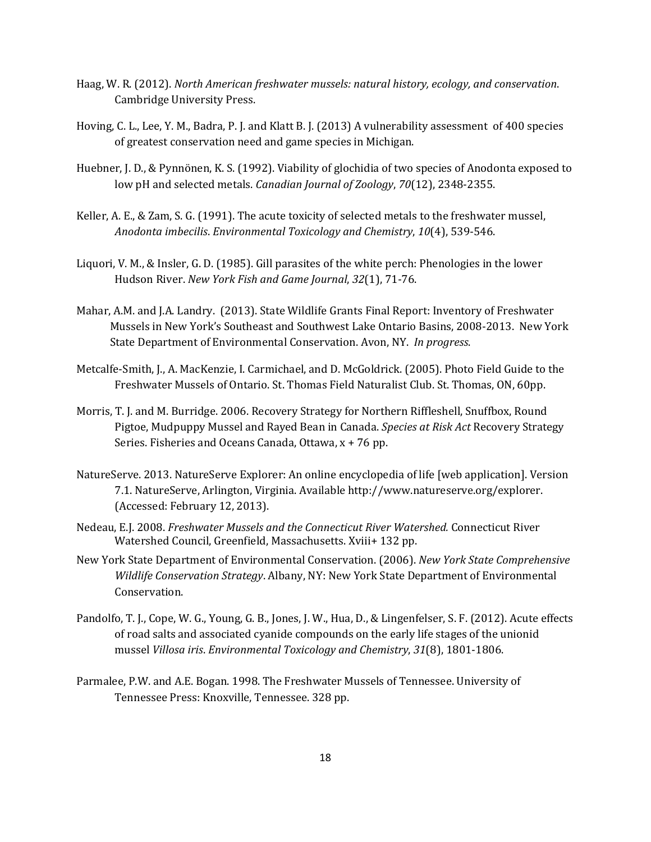- Haag, W. R. (2012). *North American freshwater mussels: natural history, ecology, and conservation*. Cambridge University Press.
- Hoving, C. L., Lee, Y. M., Badra, P. J. and Klatt B. J. (2013) A vulnerability assessment of 400 species of greatest conservation need and game species in Michigan.
- Huebner, J. D., & Pynnönen, K. S. (1992). Viability of glochidia of two species of Anodonta exposed to low pH and selected metals. *Canadian Journal of Zoology*, *70*(12), 2348-2355.
- Keller, A. E., & Zam, S. G. (1991). The acute toxicity of selected metals to the freshwater mussel, *Anodonta imbecilis*. *Environmental Toxicology and Chemistry*, *10*(4), 539-546.
- Liquori, V. M., & Insler, G. D. (1985). Gill parasites of the white perch: Phenologies in the lower Hudson River. *New York Fish and Game Journal*, *32*(1), 71-76.
- Mahar, A.M. and J.A. Landry. (2013). State Wildlife Grants Final Report: Inventory of Freshwater Mussels in New York's Southeast and Southwest Lake Ontario Basins, 2008-2013. New York State Department of Environmental Conservation. Avon, NY. *In progress*.
- Metcalfe-Smith, J., A. MacKenzie, I. Carmichael, and D. McGoldrick. (2005). Photo Field Guide to the Freshwater Mussels of Ontario. St. Thomas Field Naturalist Club. St. Thomas, ON, 60pp.
- Morris, T. J. and M. Burridge. 2006. Recovery Strategy for Northern Riffleshell, Snuffbox, Round Pigtoe, Mudpuppy Mussel and Rayed Bean in Canada. *Species at Risk Act* Recovery Strategy Series. Fisheries and Oceans Canada, Ottawa, x + 76 pp.
- NatureServe. 2013. NatureServe Explorer: An online encyclopedia of life [web application]. Version 7.1. NatureServe, Arlington, Virginia. Available http://www.natureserve.org/explorer. (Accessed: February 12, 2013).
- Nedeau, E.J. 2008. *Freshwater Mussels and the Connecticut River Watershed.* Connecticut River Watershed Council, Greenfield, Massachusetts. Xviii+ 132 pp.
- New York State Department of Environmental Conservation. (2006). *New York State Comprehensive Wildlife Conservation Strategy*. Albany, NY: New York State Department of Environmental Conservation.
- Pandolfo, T. J., Cope, W. G., Young, G. B., Jones, J. W., Hua, D., & Lingenfelser, S. F. (2012). Acute effects of road salts and associated cyanide compounds on the early life stages of the unionid mussel *Villosa iris*. *Environmental Toxicology and Chemistry*, *31*(8), 1801-1806.
- Parmalee, P.W. and A.E. Bogan. 1998. The Freshwater Mussels of Tennessee. University of Tennessee Press: Knoxville, Tennessee. 328 pp.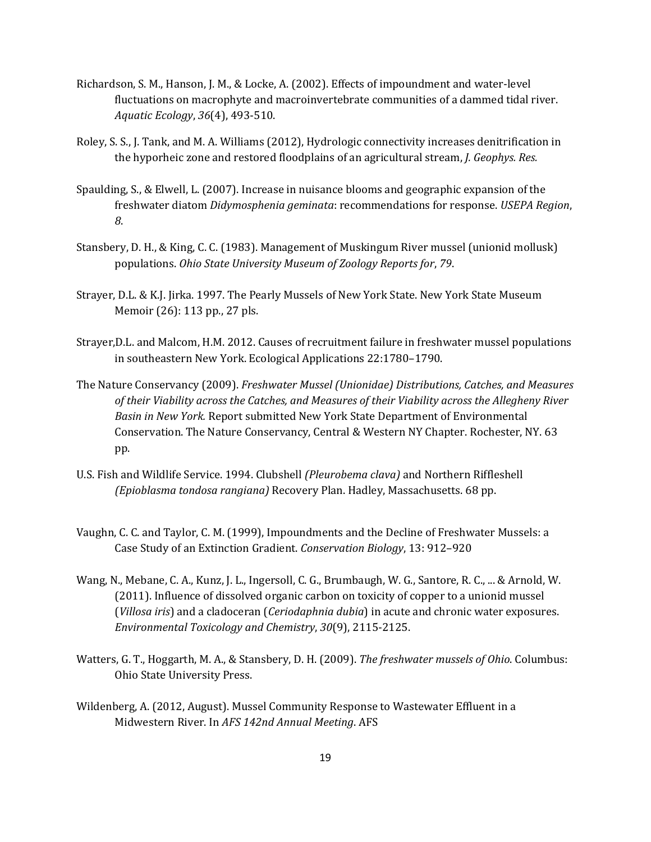- Richardson, S. M., Hanson, J. M., & Locke, A. (2002). Effects of impoundment and water-level fluctuations on macrophyte and macroinvertebrate communities of a dammed tidal river. *Aquatic Ecology*, *36*(4), 493-510.
- Roley, S. S., J. Tank, and M. A. Williams (2012), Hydrologic connectivity increases denitrification in the hyporheic zone and restored floodplains of an agricultural stream, *J. Geophys. Res.*
- Spaulding, S., & Elwell, L. (2007). Increase in nuisance blooms and geographic expansion of the freshwater diatom *Didymosphenia geminata*: recommendations for response. *USEPA Region*, *8*.
- Stansbery, D. H., & King, C. C. (1983). Management of Muskingum River mussel (unionid mollusk) populations. *Ohio State University Museum of Zoology Reports for*, *79*.
- Strayer, D.L. & K.J. Jirka. 1997. The Pearly Mussels of New York State. New York State Museum Memoir (26): 113 pp., 27 pls.
- Strayer,D.L. and Malcom, H.M. 2012. Causes of recruitment failure in freshwater mussel populations in southeastern New York. Ecological Applications 22:1780–1790.
- The Nature Conservancy (2009). *Freshwater Mussel (Unionidae) Distributions, Catches, and Measures of their Viability across the Catches, and Measures of their Viability across the Allegheny River Basin in New York.* Report submitted New York State Department of Environmental Conservation. The Nature Conservancy, Central & Western NY Chapter. Rochester, NY. 63 pp.
- U.S. Fish and Wildlife Service. 1994. Clubshell *(Pleurobema clava)* and Northern Riffleshell *(Epioblasma tondosa rangiana)* Recovery Plan. Hadley, Massachusetts. 68 pp.
- Vaughn, C. C. and Taylor, C. M. (1999), Impoundments and the Decline of Freshwater Mussels: a Case Study of an Extinction Gradient. *Conservation Biology*, 13: 912–920
- Wang, N., Mebane, C. A., Kunz, J. L., Ingersoll, C. G., Brumbaugh, W. G., Santore, R. C., ... & Arnold, W. (2011). Influence of dissolved organic carbon on toxicity of copper to a unionid mussel (*Villosa iris*) and a cladoceran (*Ceriodaphnia dubia*) in acute and chronic water exposures. *Environmental Toxicology and Chemistry*, *30*(9), 2115-2125.
- Watters, G. T., Hoggarth, M. A., & Stansbery, D. H. (2009). *The freshwater mussels of Ohio*. Columbus: Ohio State University Press.
- Wildenberg, A. (2012, August). Mussel Community Response to Wastewater Effluent in a Midwestern River. In *AFS 142nd Annual Meeting*. AFS